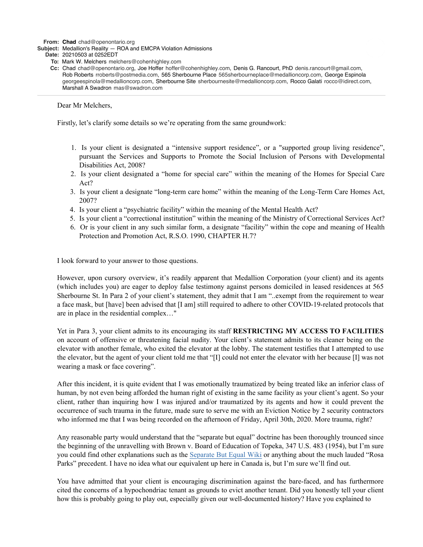**From: Chad** chad@openontario.org

**Subject:** Medallion's Reality — ROA and EMCPA Violation Admissions

**Date:** 20210503 at 0252EDT

- **To:** Mark W. Melchers melchers@cohenhighley.com
- **Cc:** Chad chad@openontario.org, Joe Hoffer hoffer@cohenhighley.com, Denis G. Rancourt, PhD denis.rancourt@gmail.com, Rob Roberts rroberts@postmedia.com, 565 Sherbourne Place 565sherbourneplace@medallioncorp.com, George Espinola georgeespinola@medallioncorp.com, Sherbourne Site sherbournesite@medallioncorp.com, Rocco Galati rocco@idirect.com, Marshall A Swadron mas@swadron.com

Dear Mr Melchers,

Firstly, let's clarify some details so we're operating from the same groundwork:

- 1. Is your client is designated a "intensive support residence", or a "supported group living residence", pursuant the Services and Supports to Promote the Social Inclusion of Persons with Developmental Disabilities Act, 2008?
- 2. Is your client designated a "home for special care" within the meaning of the Homes for Special Care Act?
- 3. Is your client a designate "long-term care home" within the meaning of the Long-Term Care Homes Act, 2007?
- 4. Is your client a "psychiatric facility" within the meaning of the Mental Health Act?
- 5. Is your client a "correctional institution" within the meaning of the Ministry of Correctional Services Act?
- 6. Or is your client in any such similar form, a designate "facility" within the cope and meaning of Health Protection and Promotion Act, R.S.O. 1990, CHAPTER H.7?

I look forward to your answer to those questions.

However, upon cursory overview, it's readily apparent that Medallion Corporation (your client) and its agents (which includes you) are eager to deploy false testimony against persons domiciled in leased residences at 565 Sherbourne St. In Para 2 of your client's statement, they admit that I am "..exempt from the requirement to wear a face mask, but [have] been advised that [I am] still required to adhere to other COVID-19-related protocols that are in place in the residential complex…"

Yet in Para 3, your client admits to its encouraging its staff **RESTRICTING MY ACCESS TO FACILITIES** on account of offensive or threatening facial nudity. Your client's statement admits to its cleaner being on the elevator with another female, who exited the elevator at the lobby. The statement testifies that I attempted to use the elevator, but the agent of your client told me that "[I] could not enter the elevator with her because [I] was not wearing a mask or face covering".

After this incident, it is quite evident that I was emotionally traumatized by being treated like an inferior class of human, by not even being afforded the human right of existing in the same facility as your client's agent. So your client, rather than inquiring how I was injured and/or traumatized by its agents and how it could prevent the occurrence of such trauma in the future, made sure to serve me with an Eviction Notice by 2 security contractors who informed me that I was being recorded on the afternoon of Friday, April 30th, 2020. More trauma, right?

Any reasonable party would understand that the "separate but equal" doctrine has been thoroughly trounced since the beginning of the unravelling with Brown v. Board of Education of Topeka, 347 U.S. 483 (1954), but I'm sure you could find other explanations such as the Separate But Equal Wiki or anything about the much lauded "Rosa Parks" precedent. I have no idea what our equivalent up here in Canada is, but I'm sure we'll find out.

You have admitted that your client is encouraging discrimination against the bare-faced, and has furthermore cited the concerns of a hypochondriac tenant as grounds to evict another tenant. Did you honestly tell your client how this is probably going to play out, especially given our well-documented history? Have you explained to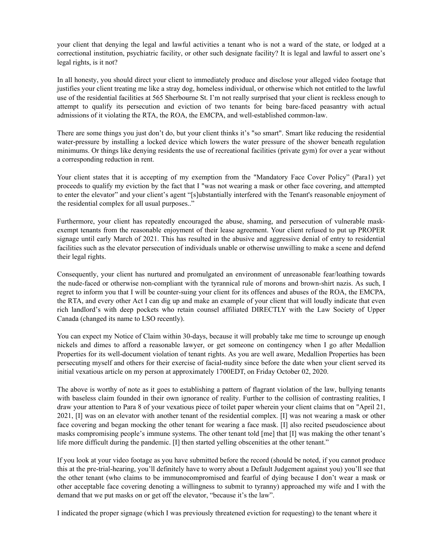your client that denying the legal and lawful activities a tenant who is not a ward of the state, or lodged at a correctional institution, psychiatric facility, or other such designate facility? It is legal and lawful to assert one's legal rights, is it not?

In all honesty, you should direct your client to immediately produce and disclose your alleged video footage that justifies your client treating me like a stray dog, homeless individual, or otherwise which not entitled to the lawful use of the residential facilities at 565 Sherbourne St. I'm not really surprised that your client is reckless enough to attempt to qualify its persecution and eviction of two tenants for being bare-faced peasantry with actual admissions of it violating the RTA, the ROA, the EMCPA, and well-established common-law.

There are some things you just don't do, but your client thinks it's "so smart". Smart like reducing the residential water-pressure by installing a locked device which lowers the water pressure of the shower beneath regulation minimums. Or things like denying residents the use of recreational facilities (private gym) for over a year without a corresponding reduction in rent.

Your client states that it is accepting of my exemption from the "Mandatory Face Cover Policy" (Para1) yet proceeds to qualify my eviction by the fact that I "was not wearing a mask or other face covering, and attempted to enter the elevator" and your client's agent "[s]ubstantially interfered with the Tenant's reasonable enjoyment of the residential complex for all usual purposes.."

Furthermore, your client has repeatedly encouraged the abuse, shaming, and persecution of vulnerable maskexempt tenants from the reasonable enjoyment of their lease agreement. Your client refused to put up PROPER signage until early March of 2021. This has resulted in the abusive and aggressive denial of entry to residential facilities such as the elevator persecution of individuals unable or otherwise unwilling to make a scene and defend their legal rights.

Consequently, your client has nurtured and promulgated an environment of unreasonable fear/loathing towards the nude-faced or otherwise non-compliant with the tyrannical rule of morons and brown-shirt nazis. As such, I regret to inform you that I will be counter-suing your client for its offences and abuses of the ROA, the EMCPA, the RTA, and every other Act I can dig up and make an example of your client that will loudly indicate that even rich landlord's with deep pockets who retain counsel affiliated DIRECTLY with the Law Society of Upper Canada (changed its name to LSO recently).

You can expect my Notice of Claim within 30-days, because it will probably take me time to scrounge up enough nickels and dimes to afford a reasonable lawyer, or get someone on contingency when I go after Medallion Properties for its well-document violation of tenant rights. As you are well aware, Medallion Properties has been persecuting myself and others for their exercise of facial-nudity since before the date when your client served its initial vexatious article on my person at approximately 1700EDT, on Friday October 02, 2020.

The above is worthy of note as it goes to establishing a pattern of flagrant violation of the law, bullying tenants with baseless claim founded in their own ignorance of reality. Further to the collision of contrasting realities, I draw your attention to Para 8 of your vexatious piece of toilet paper wherein your client claims that on "April 21, 2021, [I] was on an elevator with another tenant of the residential complex. [I] was not wearing a mask or other face covering and began mocking the other tenant for wearing a face mask. [I] also recited pseudoscience about masks compromising people's immune systems. The other tenant told [me] that [I] was making the other tenant's life more difficult during the pandemic. [I] then started yelling obscenities at the other tenant."

If you look at your video footage as you have submitted before the record (should be noted, if you cannot produce this at the pre-trial-hearing, you'll definitely have to worry about a Default Judgement against you) you'll see that the other tenant (who claims to be immunocompromised and fearful of dying because I don't wear a mask or other acceptable face covering denoting a willingness to submit to tyranny) approached my wife and I with the demand that we put masks on or get off the elevator, "because it's the law".

I indicated the proper signage (which I was previously threatened eviction for requesting) to the tenant where it